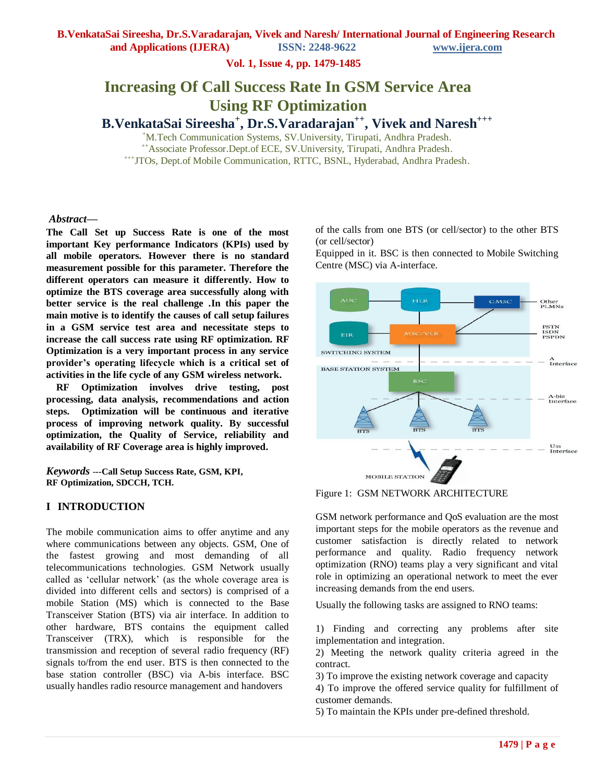**and Applications (IJERA) ISSN: 2248-9622 www.ijera.com**

**Vol. 1, Issue 4, pp. 1479-1485**

# **Increasing Of Call Success Rate In GSM Service Area Using RF Optimization**

**B.VenkataSai Sireesha<sup>+</sup> , Dr.S.Varadarajan++, Vivek and Naresh+++**

<sup>+</sup>M.Tech Communication Systems, SV.University, Tirupati, Andhra Pradesh. ++Associate Professor.Dept.of ECE, SV.University, Tirupati, Andhra Pradesh. +++JTOs, Dept.of Mobile Communication, RTTC, BSNL, Hyderabad, Andhra Pradesh.

## *Abstract***—**

**The Call Set up Success Rate is one of the most important Key performance Indicators (KPIs) used by all mobile operators. However there is no standard measurement possible for this parameter. Therefore the different operators can measure it differently. How to optimize the BTS coverage area successfully along with better service is the real challenge .In this paper the main motive is to identify the causes of call setup failures in a GSM service test area and necessitate steps to increase the call success rate using RF optimization. RF Optimization is a very important process in any service provider's operating lifecycle which is a critical set of activities in the life cycle of any GSM wireless network.** 

**RF Optimization involves drive testing, post processing, data analysis, recommendations and action steps. Optimization will be continuous and iterative process of improving network quality. By successful optimization, the Quality of Service, reliability and availability of RF Coverage area is highly improved.**

*Keywords* -**--Call Setup Success Rate, GSM, KPI, RF Optimization, SDCCH, TCH.**

# **I INTRODUCTION**

The mobile communication aims to offer anytime and any where communications between any objects. GSM, One of the fastest growing and most demanding of all telecommunications technologies. GSM Network usually called as "cellular network" (as the whole coverage area is divided into different cells and sectors) is comprised of a mobile Station (MS) which is connected to the Base Transceiver Station (BTS) via air interface. In addition to other hardware, BTS contains the equipment called Transceiver (TRX), which is responsible for the transmission and reception of several radio frequency (RF) signals to/from the end user. BTS is then connected to the base station controller (BSC) via A-bis interface. BSC usually handles radio resource management and handovers

of the calls from one BTS (or cell/sector) to the other BTS (or cell/sector)

Equipped in it. BSC is then connected to Mobile Switching Centre (MSC) via A-interface.



Figure 1: GSM NETWORK ARCHITECTURE

GSM network performance and QoS evaluation are the most important steps for the mobile operators as the revenue and customer satisfaction is directly related to network performance and quality. Radio frequency network optimization (RNO) teams play a very significant and vital role in optimizing an operational network to meet the ever increasing demands from the end users.

Usually the following tasks are assigned to RNO teams:

1) Finding and correcting any problems after site implementation and integration.

2) Meeting the network quality criteria agreed in the contract.

3) To improve the existing network coverage and capacity

4) To improve the offered service quality for fulfillment of customer demands.

5) To maintain the KPIs under pre-defined threshold.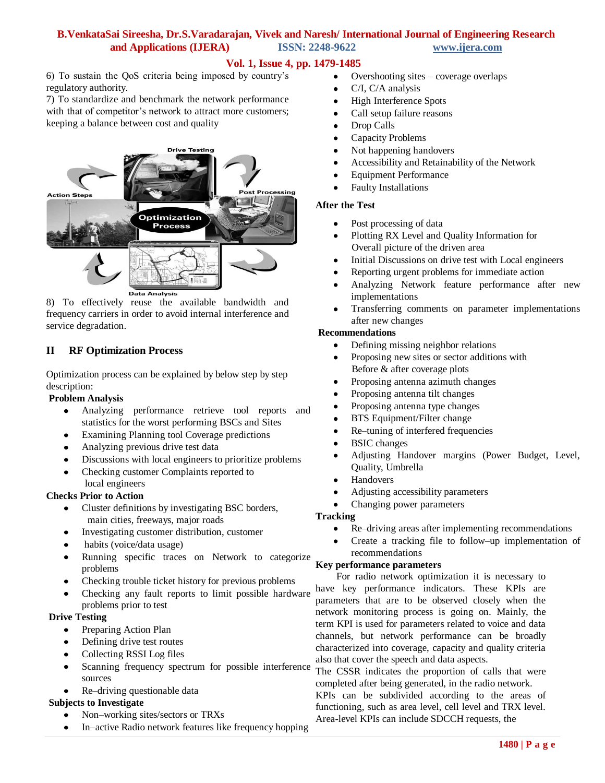# **B.VenkataSai Sireesha, Dr.S.Varadarajan, Vivek and Naresh/ International Journal of Engineering Research and Applications (IJERA) ISSN: 2248-9622 www.ijera.com**

# **Vol. 1, Issue 4, pp. 1479-1485**

6) To sustain the QoS criteria being imposed by country"s regulatory authority.

7) To standardize and benchmark the network performance with that of competitor's network to attract more customers; keeping a balance between cost and quality



8) To effectively reuse the available bandwidth and frequency carriers in order to avoid internal interference and service degradation.

# **II RF Optimization Process**

Optimization process can be explained by below step by step description:

# **Problem Analysis**

- Analyzing performance retrieve tool reports and  $\bullet$ statistics for the worst performing BSCs and Sites
- Examining Planning tool Coverage predictions
- Analyzing previous drive test data
- $\bullet$ Discussions with local engineers to prioritize problems
- Checking customer Complaints reported to local engineers

# **Checks Prior to Action**

- Cluster definitions by investigating BSC borders,  $\bullet$ main cities, freeways, major roads
- Investigating customer distribution, customer  $\bullet$
- habits (voice/data usage)
- $\bullet$ Running specific traces on Network to categorize problems
- Checking trouble ticket history for previous problems
- Checking any fault reports to limit possible hardware problems prior to test

# **Drive Testing**

- $\bullet$ Preparing Action Plan
- Defining drive test routes
- $\bullet$ Collecting RSSI Log files
- Scanning frequency spectrum for possible interference  $\bullet$ sources
- Re–driving questionable data

# **Subjects to Investigate**

- Non–working sites/sectors or TRXs
- In–active Radio network features like frequency hopping
- Overshooting sites coverage overlaps  $\bullet$
- C/I, C/A analysis
- $\bullet$ High Interference Spots
- Call setup failure reasons  $\bullet$
- Drop Calls  $\bullet$
- Capacity Problems  $\bullet$
- $\bullet$ Not happening handovers
- $\bullet$ Accessibility and Retainability of the Network
- Equipment Performance  $\bullet$
- Faulty Installations

# **After the Test**

- Post processing of data
- Plotting RX Level and Quality Information for  $\bullet$ Overall picture of the driven area
- $\bullet$ Initial Discussions on drive test with Local engineers
- Reporting urgent problems for immediate action  $\bullet$
- Analyzing Network feature performance after new  $\bullet$ implementations
- $\bullet$ Transferring comments on parameter implementations after new changes

# **Recommendations**

- $\bullet$ Defining missing neighbor relations
- $\bullet$ Proposing new sites or sector additions with Before & after coverage plots
- Proposing antenna azimuth changes  $\bullet$
- $\bullet$ Proposing antenna tilt changes
- $\bullet$ Proposing antenna type changes
- $\bullet$ BTS Equipment/Filter change
- $\bullet$ Re–tuning of interfered frequencies
- $\bullet$ BSIC changes
- Adjusting Handover margins (Power Budget, Level,  $\bullet$ Quality, Umbrella
- Handovers  $\bullet$
- Adjusting accessibility parameters  $\bullet$
- $\bullet$ Changing power parameters

# **Tracking**

- Re–driving areas after implementing recommendations  $\bullet$
- Create a tracking file to follow–up implementation of recommendations

# **Key performance parameters**

 For radio network optimization it is necessary to have key performance indicators. These KPIs are parameters that are to be observed closely when the network monitoring process is going on. Mainly, the term KPI is used for parameters related to voice and data channels, but network performance can be broadly characterized into coverage, capacity and quality criteria also that cover the speech and data aspects.

The CSSR indicates the proportion of calls that were completed after being generated, in the radio network. . KPIs can be subdivided according to the areas of functioning, such as area level, cell level and TRX level.

Area-level KPIs can include SDCCH requests, the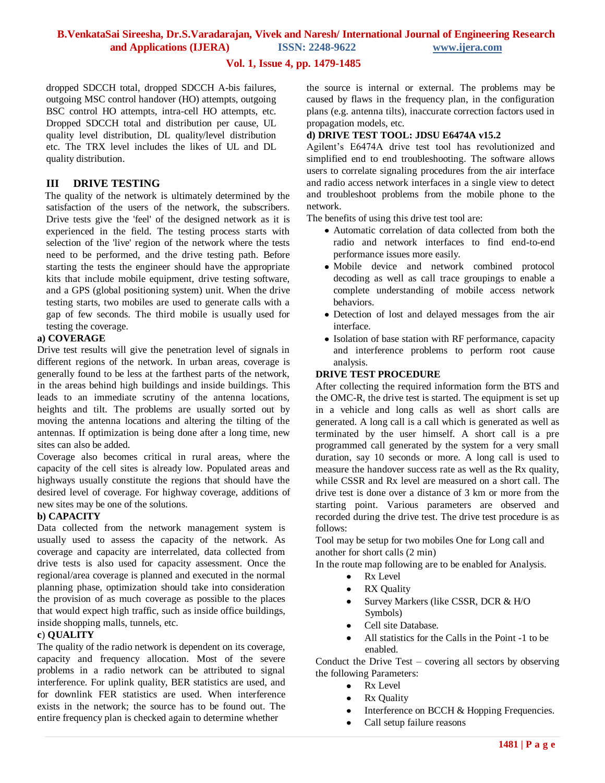# **B.VenkataSai Sireesha, Dr.S.Varadarajan, Vivek and Naresh/ International Journal of Engineering Research**

**and Applications (IJERA) ISSN: 2248-9622 www.ijera.com**

# **Vol. 1, Issue 4, pp. 1479-1485**

dropped SDCCH total, dropped SDCCH A-bis failures, outgoing MSC control handover (HO) attempts, outgoing BSC control HO attempts, intra-cell HO attempts, etc. Dropped SDCCH total and distribution per cause, UL quality level distribution, DL quality/level distribution etc. The TRX level includes the likes of UL and DL quality distribution.

# **III DRIVE TESTING**

 The quality of the network is ultimately determined by the satisfaction of the users of the network, the subscribers. Drive tests give the 'feel' of the designed network as it is experienced in the field. The testing process starts with selection of the 'live' region of the network where the tests need to be performed, and the drive testing path. Before starting the tests the engineer should have the appropriate kits that include mobile equipment, drive testing software, and a GPS (global positioning system) unit. When the drive testing starts, two mobiles are used to generate calls with a gap of few seconds. The third mobile is usually used for testing the coverage.

# **a) COVERAGE**

Drive test results will give the penetration level of signals in different regions of the network. In urban areas, coverage is generally found to be less at the farthest parts of the network, in the areas behind high buildings and inside buildings. This leads to an immediate scrutiny of the antenna locations, heights and tilt. The problems are usually sorted out by moving the antenna locations and altering the tilting of the antennas. If optimization is being done after a long time, new sites can also be added.

Coverage also becomes critical in rural areas, where the capacity of the cell sites is already low. Populated areas and highways usually constitute the regions that should have the desired level of coverage. For highway coverage, additions of new sites may be one of the solutions.

# **b) CAPACITY**

Data collected from the network management system is usually used to assess the capacity of the network. As coverage and capacity are interrelated, data collected from drive tests is also used for capacity assessment. Once the regional/area coverage is planned and executed in the normal planning phase, optimization should take into consideration the provision of as much coverage as possible to the places that would expect high traffic, such as inside office buildings, inside shopping malls, tunnels, etc.

# **c**) **QUALITY**

The quality of the radio network is dependent on its coverage, capacity and frequency allocation. Most of the severe problems in a radio network can be attributed to signal interference. For uplink quality, BER statistics are used, and for downlink FER statistics are used. When interference exists in the network; the source has to be found out. The entire frequency plan is checked again to determine whether

the source is internal or external. The problems may be caused by flaws in the frequency plan, in the configuration plans (e.g. antenna tilts), inaccurate correction factors used in propagation models, etc.

### **d) DRIVE TEST TOOL: JDSU E6474A v15.2**

Agilent"s E6474A drive test tool has revolutionized and simplified end to end troubleshooting. The software allows users to correlate signaling procedures from the air interface and radio access network interfaces in a single view to detect and troubleshoot problems from the mobile phone to the network.

The benefits of using this drive test tool are:

- Automatic correlation of data collected from both the radio and network interfaces to find end-to-end performance issues more easily.
- Mobile device and network combined protocol decoding as well as call trace groupings to enable a complete understanding of mobile access network behaviors.
- Detection of lost and delayed messages from the air interface.
- Isolation of base station with RF performance, capacity and interference problems to perform root cause analysis.

# **DRIVE TEST PROCEDURE**

After collecting the required information form the BTS and the OMC-R, the drive test is started. The equipment is set up in a vehicle and long calls as well as short calls are generated. A long call is a call which is generated as well as terminated by the user himself. A short call is a pre programmed call generated by the system for a very small duration, say 10 seconds or more. A long call is used to measure the handover success rate as well as the Rx quality, while CSSR and Rx level are measured on a short call. The drive test is done over a distance of 3 km or more from the starting point. Various parameters are observed and recorded during the drive test. The drive test procedure is as follows:

Tool may be setup for two mobiles One for Long call and another for short calls (2 min)

In the route map following are to be enabled for Analysis.

- Rx Level  $\bullet$
- RX Quality
- Survey Markers (like CSSR, DCR & H/O  $\bullet$ Symbols)
- Cell site Database.  $\bullet$
- All statistics for the Calls in the Point -1 to be enabled.

Conduct the Drive Test – covering all sectors by observing the following Parameters:

- Rx Level  $\bullet$
- Rx Quality
- Interference on BCCH & Hopping Frequencies.
- Call setup failure reasons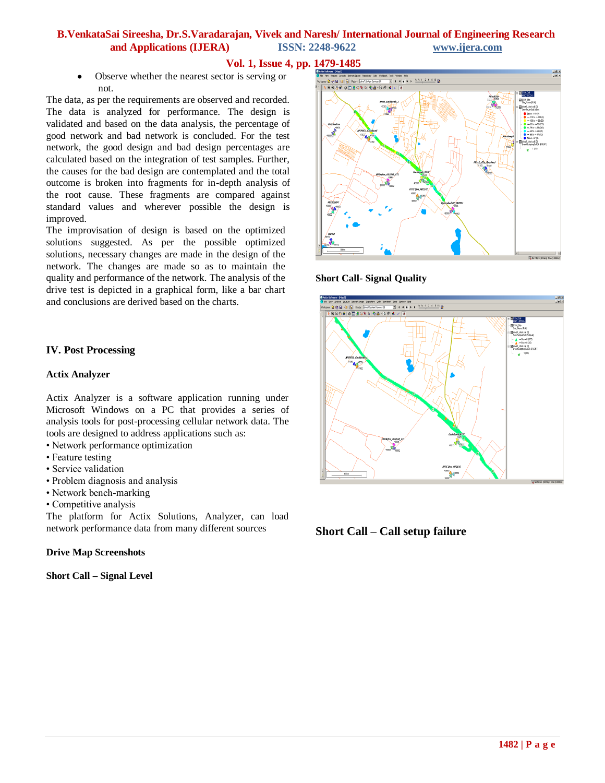# **B.VenkataSai Sireesha, Dr.S.Varadarajan, Vivek and Naresh/ International Journal of Engineering Research and Applications (IJERA) ISSN: 2248-9622 www.ijera.com**

# **Vol. 1, Issue 4, pp. 1479-1485**

Observe whether the nearest sector is serving or not.

The data, as per the requirements are observed and recorded. The data is analyzed for performance. The design is validated and based on the data analysis, the percentage of good network and bad network is concluded. For the test network, the good design and bad design percentages are calculated based on the integration of test samples. Further, the causes for the bad design are contemplated and the total outcome is broken into fragments for in-depth analysis of the root cause. These fragments are compared against standard values and wherever possible the design is improved.

The improvisation of design is based on the optimized solutions suggested. As per the possible optimized solutions, necessary changes are made in the design of the network. The changes are made so as to maintain the quality and performance of the network. The analysis of the drive test is depicted in a graphical form, like a bar chart and conclusions are derived based on the charts.

# **IV. Post Processing**

### **Actix Analyzer**

Actix Analyzer is a software application running under Microsoft Windows on a PC that provides a series of analysis tools for post-processing cellular network data. The tools are designed to address applications such as:

- Network performance optimization
- Feature testing
- Service validation
- Problem diagnosis and analysis
- Network bench-marking
- Competitive analysis

The platform for Actix Solutions, Analyzer, can load network performance data from many different sources

# **Drive Map Screenshots**

**Short Call – Signal Level**



# **Short Call- Signal Quality**



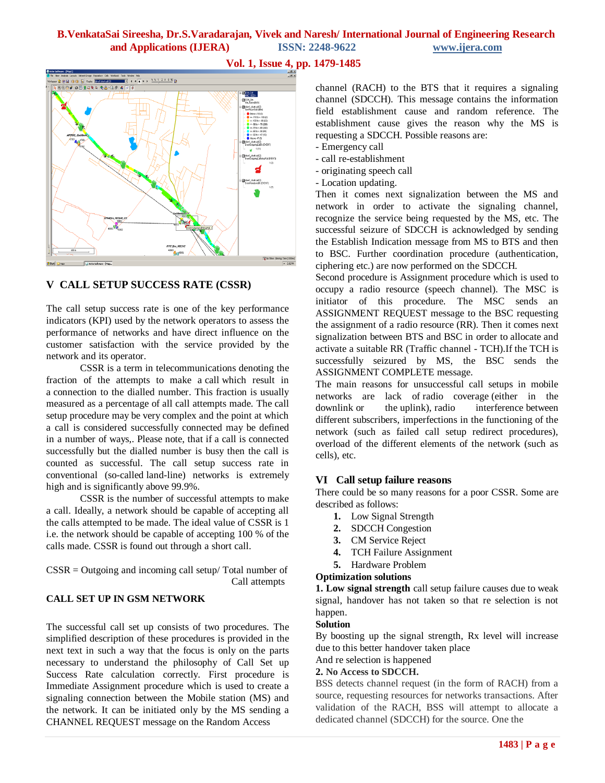# **B.VenkataSai Sireesha, Dr.S.Varadarajan, Vivek and Naresh/ International Journal of Engineering Research and Applications (IJERA) ISSN: 2248-9622 www.ijera.com**

# **EI**SSM\_Cell\_\_\_  $\overline{\mathbf{q}}$  divel\_doot call  $\overline{\mathbf{q}}$

# **V CALL SETUP SUCCESS RATE (CSSR)**

The call setup success rate is one of the key performance indicators (KPI) used by the network operators to assess the performance of networks and have direct influence on the customer satisfaction with the service provided by the network and its operator.

 CSSR is a term in telecommunications denoting the fraction of the attempts to make a call which result in a connection to the dialled number. This fraction is usually measured as a percentage of all call attempts made. The call setup procedure may be very complex and the point at which a call is considered successfully connected may be defined in a number of ways,. Please note, that if a call is connected successfully but the dialled number is busy then the call is counted as successful. The call setup success rate in conventional (so-called land-line) networks is extremely high and is significantly above 99.9%.

 CSSR is the number of successful attempts to make a call. Ideally, a network should be capable of accepting all the calls attempted to be made. The ideal value of CSSR is 1 i.e. the network should be capable of accepting 100 % of the calls made. CSSR is found out through a short call.

CSSR = Outgoing and incoming call setup/ Total number of Call attempts

# **CALL SET UP IN GSM NETWORK**

The successful call set up consists of two procedures. The simplified description of these procedures is provided in the next text in such a way that the focus is only on the parts necessary to understand the philosophy of Call Set up Success Rate calculation correctly. First procedure is Immediate Assignment procedure which is used to create a signaling connection between the Mobile station (MS) and the network. It can be initiated only by the MS sending a CHANNEL REQUEST message on the Random Access

# **Vol. 1, Issue 4, pp. 1479-1485**

channel (RACH) to the BTS that it requires a signaling channel (SDCCH). This message contains the information field establishment cause and random reference. The establishment cause gives the reason why the MS is requesting a SDCCH. Possible reasons are:

- Emergency call
- call re-establishment
- originating speech call
- Location updating.

Then it comes next signalization between the MS and network in order to activate the signaling channel, recognize the service being requested by the MS, etc. The successful seizure of SDCCH is acknowledged by sending the Establish Indication message from MS to BTS and then to BSC. Further coordination procedure (authentication, ciphering etc.) are now performed on the SDCCH.

Second procedure is Assignment procedure which is used to occupy a radio resource (speech channel). The MSC is initiator of this procedure. The MSC sends an ASSIGNMENT REQUEST message to the BSC requesting the assignment of a radio resource (RR). Then it comes next signalization between BTS and BSC in order to allocate and activate a suitable RR (Traffic channel - TCH).If the TCH is successfully seizured by MS, the BSC sends the ASSIGNMENT COMPLETE message.

The main reasons for unsuccessful call setups in mobile networks are lack of radio coverage (either in the downlink or the uplink), radio interference between different subscribers, imperfections in the functioning of the network (such as failed call setup redirect procedures), overload of the different elements of the network (such as cells), etc.

# **VI Call setup failure reasons**

There could be so many reasons for a poor CSSR. Some are described as follows:

- **1.** Low Signal Strength
- **2.** SDCCH Congestion
- **3.** CM Service Reject
- **4.** TCH Failure Assignment
- **5.** Hardware Problem

### **Optimization solutions**

**1. Low signal strength** call setup failure causes due to weak signal, handover has not taken so that re selection is not happen.

# **Solution**

By boosting up the signal strength, Rx level will increase due to this better handover taken place

And re selection is happened

### **2. No Access to SDCCH.**

BSS detects channel request (in the form of RACH) from a source, requesting resources for networks transactions. After validation of the RACH, BSS will attempt to allocate a dedicated channel (SDCCH) for the source. One the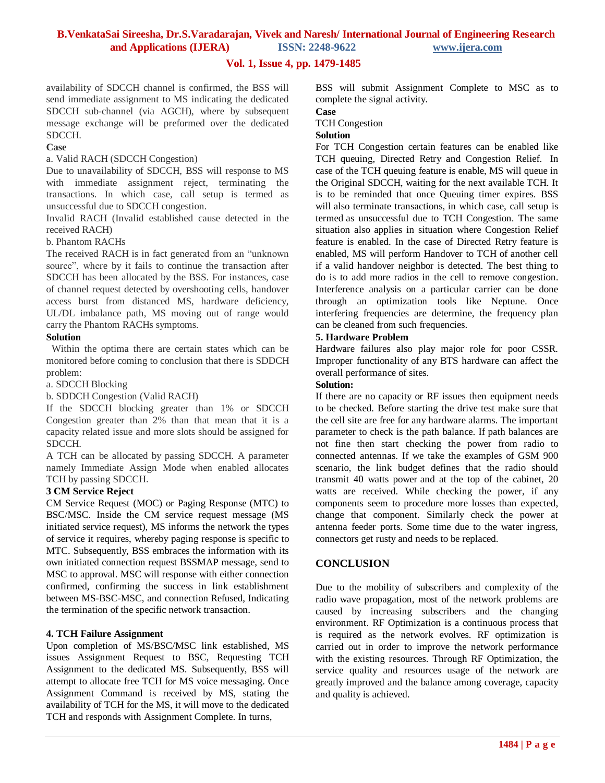**and Applications (IJERA) ISSN: 2248-9622 www.ijera.com**

# **Vol. 1, Issue 4, pp. 1479-1485**

availability of SDCCH channel is confirmed, the BSS will send immediate assignment to MS indicating the dedicated SDCCH sub-channel (via AGCH), where by subsequent message exchange will be preformed over the dedicated SDCCH.

# **Case**

## a. Valid RACH (SDCCH Congestion)

Due to unavailability of SDCCH, BSS will response to MS with immediate assignment reject, terminating the transactions. In which case, call setup is termed as unsuccessful due to SDCCH congestion.

Invalid RACH (Invalid established cause detected in the received RACH)

## b. Phantom RACHs

The received RACH is in fact generated from an "unknown source", where by it fails to continue the transaction after SDCCH has been allocated by the BSS. For instances, case of channel request detected by overshooting cells, handover access burst from distanced MS, hardware deficiency, UL/DL imbalance path, MS moving out of range would carry the Phantom RACHs symptoms.

# **Solution**

Within the optima there are certain states which can be monitored before coming to conclusion that there is SDDCH problem:

a. SDCCH Blocking

b. SDDCH Congestion (Valid RACH)

If the SDCCH blocking greater than 1% or SDCCH Congestion greater than 2% than that mean that it is a capacity related issue and more slots should be assigned for SDCCH.

A TCH can be allocated by passing SDCCH. A parameter namely Immediate Assign Mode when enabled allocates TCH by passing SDCCH.

# **3 CM Service Reject**

CM Service Request (MOC) or Paging Response (MTC) to BSC/MSC. Inside the CM service request message (MS initiated service request), MS informs the network the types of service it requires, whereby paging response is specific to MTC. Subsequently, BSS embraces the information with its own initiated connection request BSSMAP message, send to MSC to approval. MSC will response with either connection confirmed, confirming the success in link establishment between MS-BSC-MSC, and connection Refused, Indicating the termination of the specific network transaction.

# **4. TCH Failure Assignment**

Upon completion of MS/BSC/MSC link established, MS issues Assignment Request to BSC, Requesting TCH Assignment to the dedicated MS. Subsequently, BSS will attempt to allocate free TCH for MS voice messaging. Once Assignment Command is received by MS, stating the availability of TCH for the MS, it will move to the dedicated TCH and responds with Assignment Complete. In turns,

BSS will submit Assignment Complete to MSC as to complete the signal activity.

**Case**

TCH Congestion

### **Solution**

For TCH Congestion certain features can be enabled like TCH queuing, Directed Retry and Congestion Relief. In case of the TCH queuing feature is enable, MS will queue in the Original SDCCH, waiting for the next available TCH. It is to be reminded that once Queuing timer expires. BSS will also terminate transactions, in which case, call setup is termed as unsuccessful due to TCH Congestion. The same situation also applies in situation where Congestion Relief feature is enabled. In the case of Directed Retry feature is enabled, MS will perform Handover to TCH of another cell if a valid handover neighbor is detected. The best thing to do is to add more radios in the cell to remove congestion. Interference analysis on a particular carrier can be done through an optimization tools like Neptune. Once interfering frequencies are determine, the frequency plan can be cleaned from such frequencies.

# **5. Hardware Problem**

Hardware failures also play major role for poor CSSR. Improper functionality of any BTS hardware can affect the overall performance of sites.

# **Solution:**

If there are no capacity or RF issues then equipment needs to be checked. Before starting the drive test make sure that the cell site are free for any hardware alarms. The important parameter to check is the path balance. If path balances are not fine then start checking the power from radio to connected antennas. If we take the examples of GSM 900 scenario, the link budget defines that the radio should transmit 40 watts power and at the top of the cabinet, 20 watts are received. While checking the power, if any components seem to procedure more losses than expected, change that component. Similarly check the power at antenna feeder ports. Some time due to the water ingress, connectors get rusty and needs to be replaced.

# **CONCLUSION**

Due to the mobility of subscribers and complexity of the radio wave propagation, most of the network problems are caused by increasing subscribers and the changing environment. RF Optimization is a continuous process that is required as the network evolves. RF optimization is carried out in order to improve the network performance with the existing resources. Through RF Optimization, the service quality and resources usage of the network are greatly improved and the balance among coverage, capacity and quality is achieved.